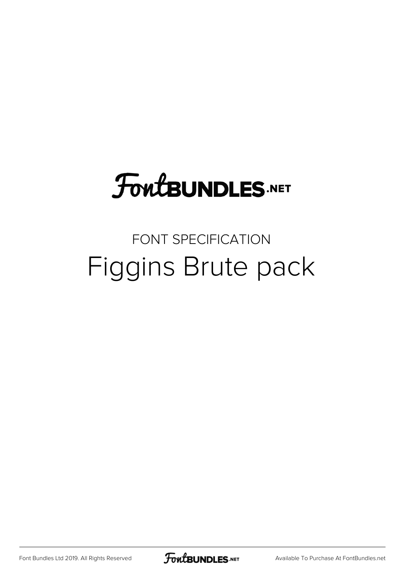# **FoutBUNDLES.NET**

## FONT SPECIFICATION Figgins Brute pack

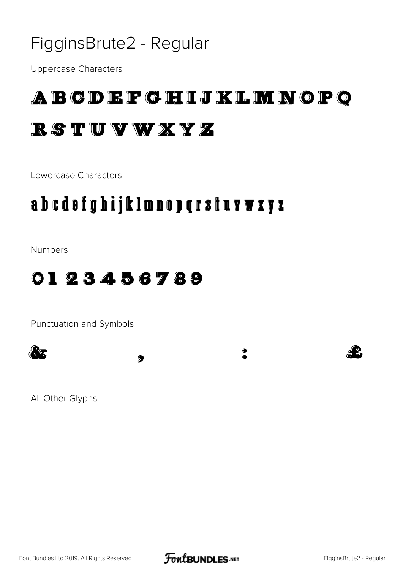#### FigginsBrute2 - Regular

Uppercase Characters

### ABCDEFGHIJKLMNOPQ RSTUVWXYZ

Lowercase Characters

### abcdefghijklmnopqrstuvwxyz

Numbers

#### 0123456789

Punctuation and Symbols



All Other Glyphs

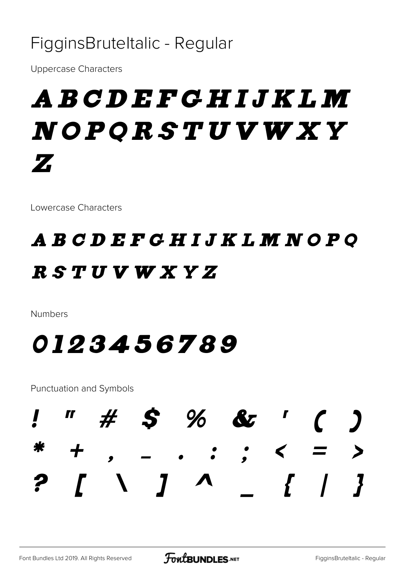#### FigginsBruteltalic - Regular

**Uppercase Characters** 

# A B C D E F G H I J K L M NOPQRSTUVWXY Z

Lowercase Characters

## A B C D E F G H I J K L M N O P Q RSTUVWXYZ

**Numbers** 

## 0123456789

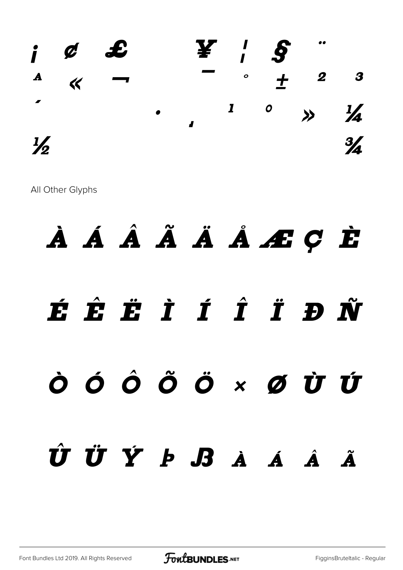

All Other Glyphs

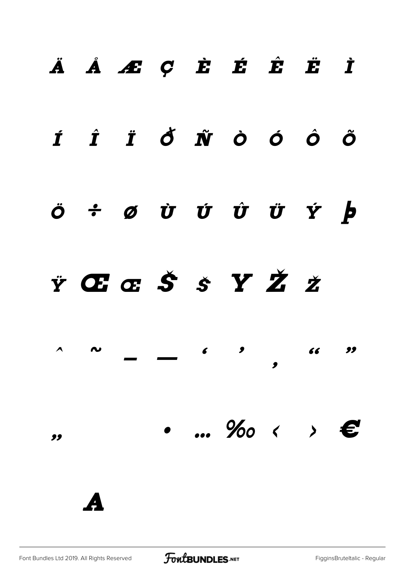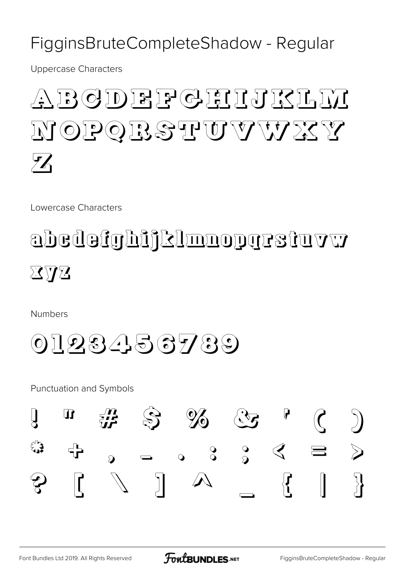#### FigginsBruteCompleteShadow - Regular

**Uppercase Characters** 

# BGDEEPGEIJKLU NOPOBSTUVVVXY  $\mathcal{H}$

Lowercase Characters

# abedefghijklmnoparstuvw  $\boxtimes \triangledown \boxtimes$

**Numbers** 

## 0123456789

**Punctuation and Symbols** 



**FoutBUNDLES.NET**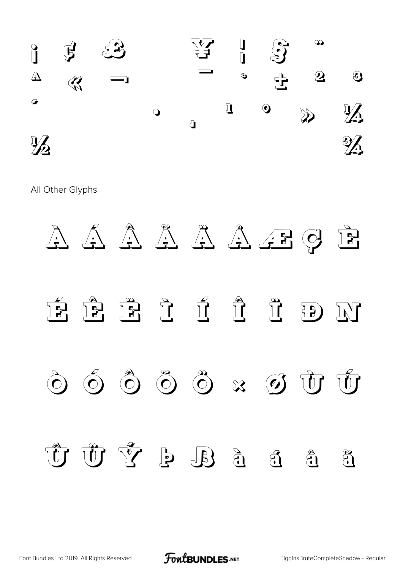

All Other Glyphs



[Font Bundles Ltd 2019. All Rights Reserved](https://fontbundles.net/) **FoutBUNDLES.NET** [FigginsBruteCompleteShadow - Regular](https://fontbundles.net/)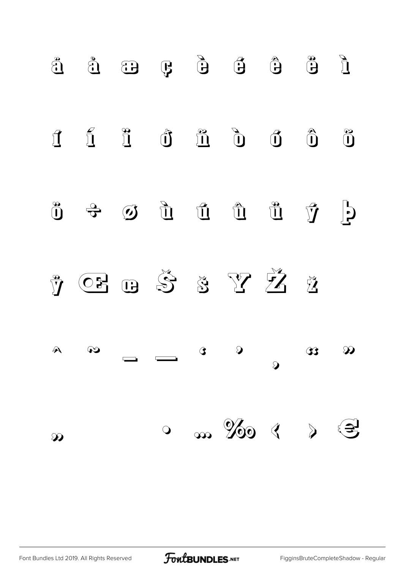

Font Bundles Ltd 2019. All Rights Reserved

FontBUNDLES.NET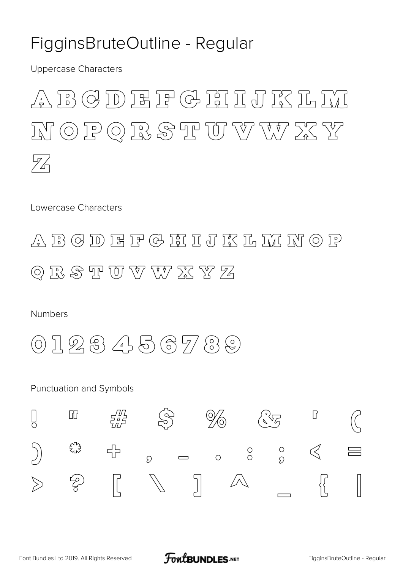#### FigginsBruteOutline - Regular

**Uppercase Characters** 

#### $\textcircled{\small{3}}$  D E F & F I J F S I L I  $\left\{\frac{D}{D}\right\}$  $\circledcirc \text{P} \odot \text{R} \text{S} \text{T} \text{U} \text{V} \text{W} \text{X} \text{Y}$  $J_{\rm N}$ 72

Lowercase Characters



**Numbers** 

 $\mathcal{R} \otimes \mathcal{A} \otimes \mathcal{B} \otimes \mathcal{B} \otimes \mathcal{B}$  $(O)$ 

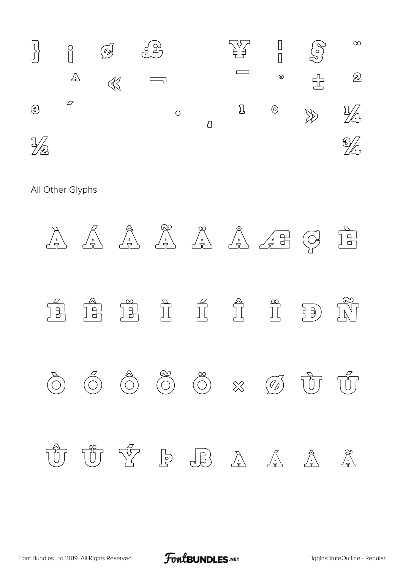

All Other Glyphs

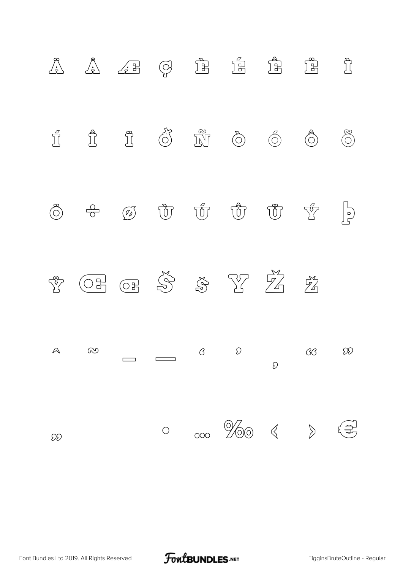

FontBUNDLES.NET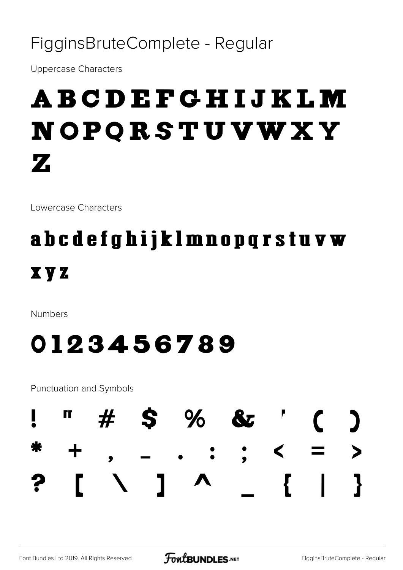#### FigginsBruteComplete - Regular

**Uppercase Characters** 

# **ABCDEFGHIJKLM** NOPQRSTUVWXY  $\mathbf{Z}$

Lowercase Characters

## abcdefghijklmnopqrstuvw **XVZ**

**Numbers** 

## 0123456789

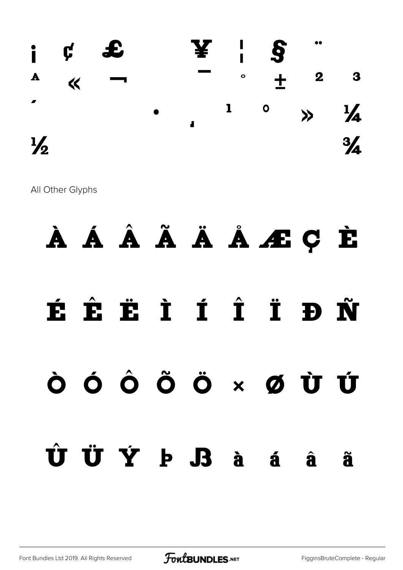

All Other Glyphs

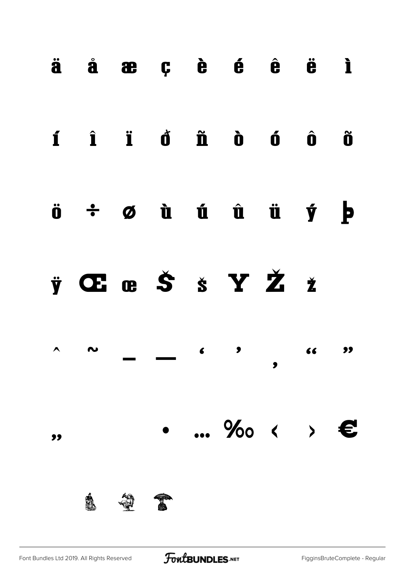|                  | $\ddot{a}$ $\dot{a}$ $\ddot{a}$ $\ddot{c}$ $\dot{c}$ $\dot{c}$ $\ddot{c}$ $\ddot{c}$ $\ddot{c}$ |  |                                                                                      |       |           |
|------------------|-------------------------------------------------------------------------------------------------|--|--------------------------------------------------------------------------------------|-------|-----------|
|                  | í î ï d ñ d ó ô õ                                                                               |  |                                                                                      |       |           |
|                  | $\ddot{o}$ $\div$ $\phi$ $\dot{u}$ $\acute{u}$ $\ddot{u}$ $\ddot{u}$ $\dot{y}$ $\dot{p}$        |  |                                                                                      |       |           |
|                  | ÿŒœŠšYŽž                                                                                        |  |                                                                                      |       |           |
| $\blacktriangle$ | $\sim$                                                                                          |  | $\begin{array}{ccc} & & & \\ \text{\bf{6}} & & \text{\bf{9}} & \\ & & & \end{array}$ | 66 11 | $\bullet$ |
|                  |                                                                                                 |  | ‱ < >                                                                                |       | €         |
|                  |                                                                                                 |  |                                                                                      |       |           |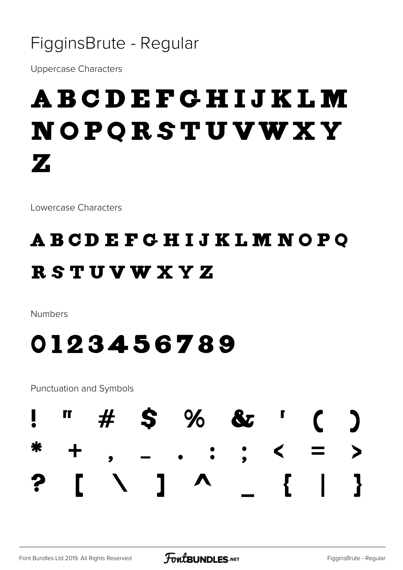#### FigginsBrute - Regular

**Uppercase Characters** 

# **ABCDEFGHIJKLM** NOPQRSTUVWXY  $\mathbf{Z}$

Lowercase Characters

## **ABCDEFGHIJKLMNOPQ RSTUVWXYZ**

**Numbers** 

## 0123456789

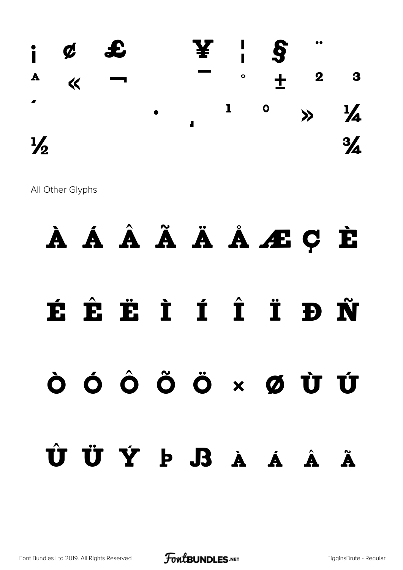

All Other Glyphs

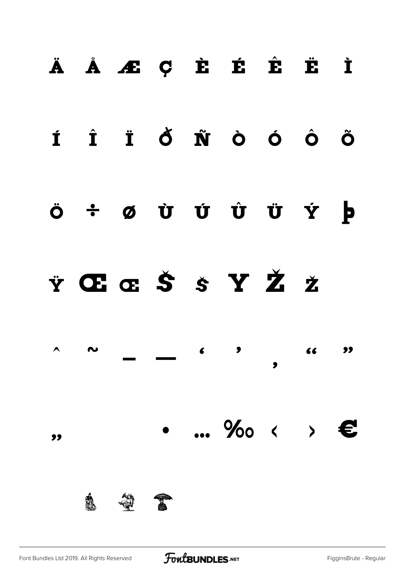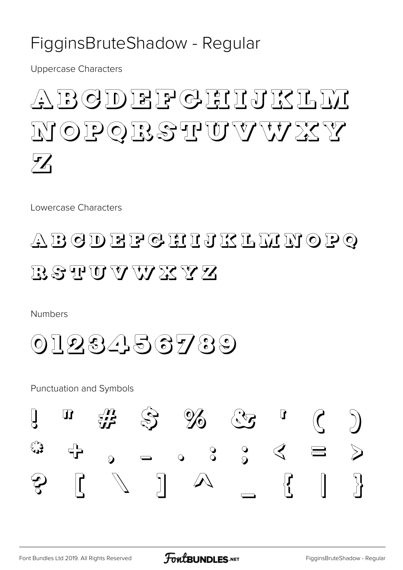#### FigginsBruteShadow - Regular

**Uppercase Characters** 

### BGDEEPGEIJKL OPOBSTUUVVISSY  $J_{\prime}/J$  $\mathscr{F}$

Lowercase Characters

## ABGDEFGHIJKLLYOPQ RSTUVWXX

**Numbers** 

0123456789

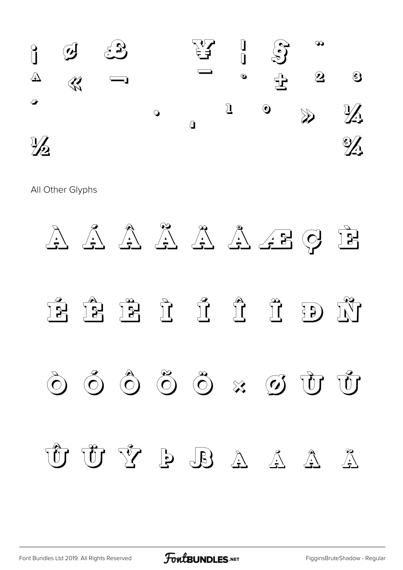

All Other Glyphs